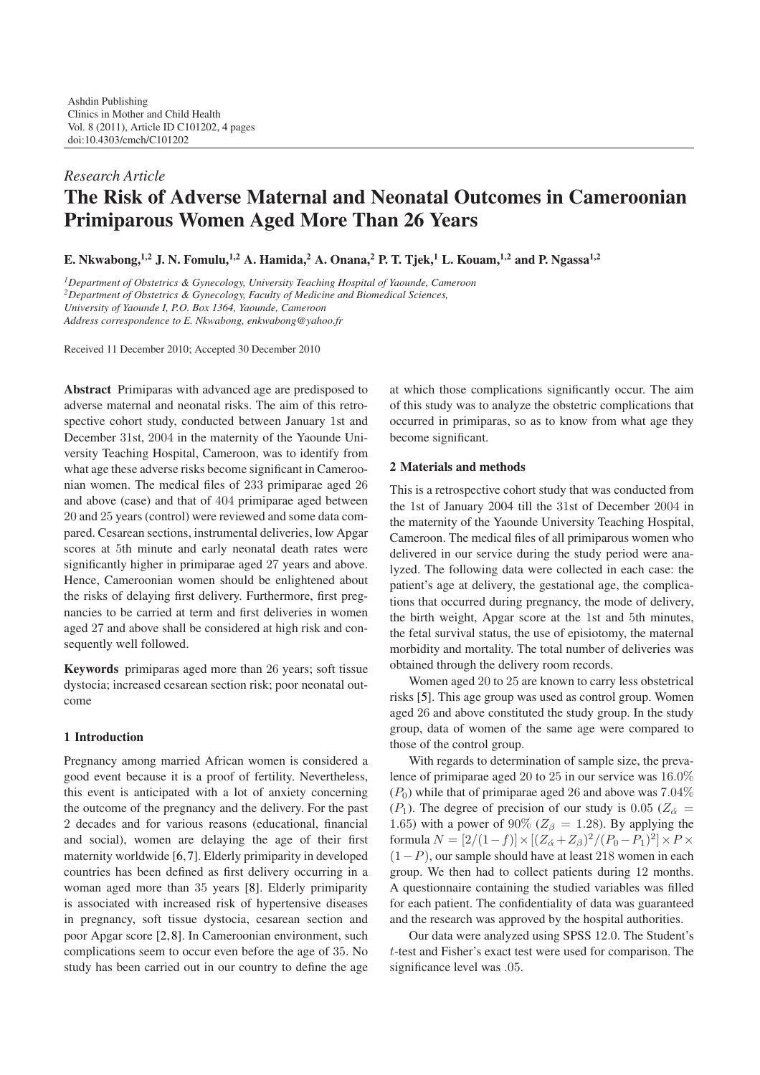# *Research Article* **The Risk of Adverse Maternal and Neonatal Outcomes in Cameroonian Primiparous Women Aged More Than 26 Years**

**E. Nkwabong,1,2 J. N. Fomulu,1,2 A. Hamida,<sup>2</sup> A. Onana,2 P. T. Tjek,<sup>1</sup> L. Kouam,1,2 and P. Ngassa1,2**

*1Department of Obstetrics & Gynecology, University Teaching Hospital of Yaounde, Cameroon*

*2Department of Obstetrics & Gynecology, Faculty of Medicine and Biomedical Sciences,*

*University of Yaounde I, P.O. Box 1364, Yaounde, Cameroon*

*Address correspondence to E. Nkwabong, enkwabong@yahoo.fr*

Received 11 December 2010; Accepted 30 December 2010

**Abstract** Primiparas with advanced age are predisposed to adverse maternal and neonatal risks. The aim of this retrospective cohort study, conducted between January 1st and December 31st, 2004 in the maternity of the Yaounde University Teaching Hospital, Cameroon, was to identify from what age these adverse risks become significant in Cameroonian women. The medical files of 233 primiparae aged 26 and above (case) and that of 404 primiparae aged between 20 and 25 years (control) were reviewed and some data compared. Cesarean sections, instrumental deliveries, low Apgar scores at 5th minute and early neonatal death rates were significantly higher in primiparae aged 27 years and above. Hence, Cameroonian women should be enlightened about the risks of delaying first delivery. Furthermore, first pregnancies to be carried at term and first deliveries in women aged 27 and above shall be considered at high risk and consequently well followed.

**Keywords** primiparas aged more than 26 years; soft tissue dystocia; increased cesarean section risk; poor neonatal outcome

### **1 Introduction**

Pregnancy among married African women is considered a good event because it is a proof of fertility. Nevertheless, this event is anticipated with a lot of anxiety concerning the outcome of the pregnancy and the delivery. For the past 2 decades and for various reasons (educational, financial and social), women are delaying the age of their first maternity worldwide [\[6,](#page-3-1)[7\]](#page-3-2). Elderly primiparity in developed countries has been defined as first delivery occurring in a woman aged more than 35 years [\[8\]](#page-3-3). Elderly primiparity is associated with increased risk of hypertensive diseases in pregnancy, soft tissue dystocia, cesarean section and poor Apgar score [\[2,](#page-3-4)[8\]](#page-3-3). In Cameroonian environment, such complications seem to occur even before the age of 35. No study has been carried out in our country to define the age

at which those complications significantly occur. The aim of this study was to analyze the obstetric complications that occurred in primiparas, so as to know from what age they become significant.

# **2 Materials and methods**

This is a retrospective cohort study that was conducted from the 1st of January 2004 till the 31st of December 2004 in the maternity of the Yaounde University Teaching Hospital, Cameroon. The medical files of all primiparous women who delivered in our service during the study period were analyzed. The following data were collected in each case: the patient's age at delivery, the gestational age, the complications that occurred during pregnancy, the mode of delivery, the birth weight, Apgar score at the 1st and 5th minutes, the fetal survival status, the use of episiotomy, the maternal morbidity and mortality. The total number of deliveries was obtained through the delivery room records.

Women aged 20 to 25 are known to carry less obstetrical risks [\[5\]](#page-3-5). This age group was used as control group. Women aged 26 and above constituted the study group. In the study group, data of women of the same age were compared to those of the control group.

With regards to determination of sample size, the prevalence of primiparae aged 20 to 25 in our service was 16*.*0%  $(P_0)$  while that of primiparae aged 26 and above was  $7.04\%$ ( $P_1$ ). The degree of precision of our study is 0.05 ( $Z_{\alpha}$  = 1.65) with a power of 90% ( $Z_{\beta} = 1.28$ ). By applying the formula  $N = [2/(1-f)] \times [(Z_{\alpha} + Z_{\beta})^2/(P_0 - P_1)^2] \times P \times$ (1*−P*), our sample should have at least 218 women in each group. We then had to collect patients during 12 months. A questionnaire containing the studied variables was filled for each patient. The confidentiality of data was guaranteed and the research was approved by the hospital authorities.

Our data were analyzed using SPSS 12*.*0. The Student's *t*-test and Fisher's exact test were used for comparison. The significance level was *.*05.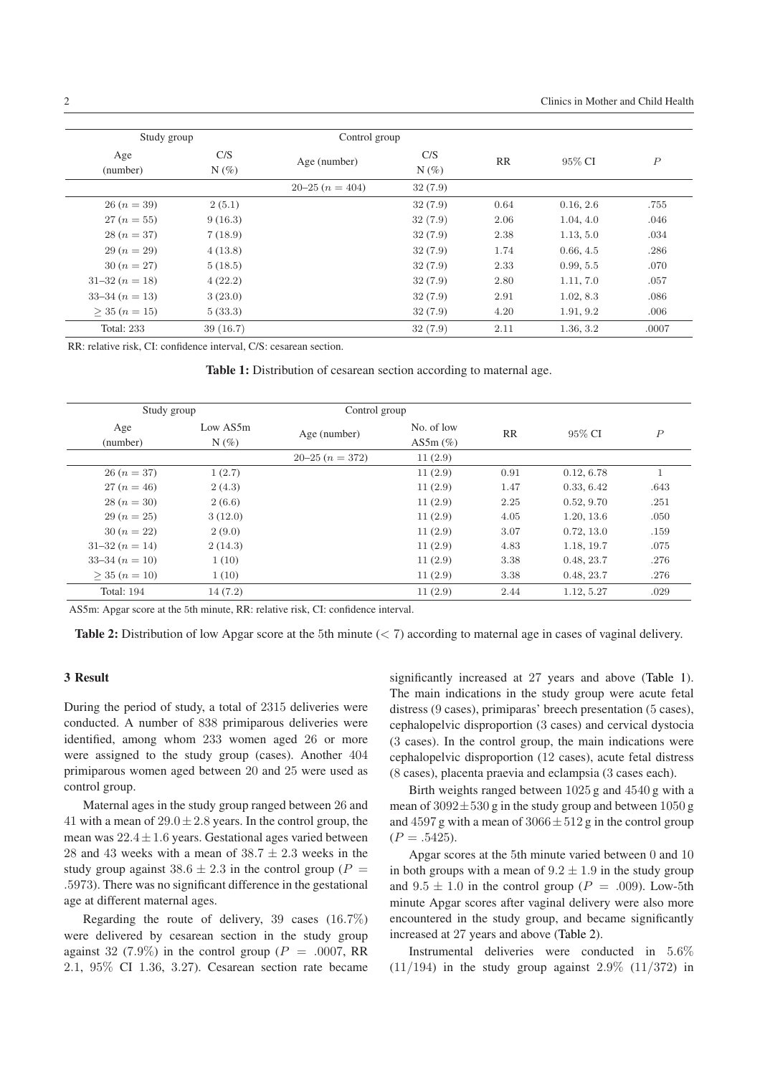| Study group         |          | Control group  |         |      |           |                  |
|---------------------|----------|----------------|---------|------|-----------|------------------|
| Age                 | C/S      | Age (number)   | C/S     | RR   | 95% CI    | $\boldsymbol{P}$ |
| (number)            | $N(\%)$  |                | $N(\%)$ |      |           |                  |
|                     |          | $20-25(n=404)$ | 32(7.9) |      |           |                  |
| $26 (n = 39)$       | 2(5.1)   |                | 32(7.9) | 0.64 | 0.16, 2.6 | .755             |
| $27 (n = 55)$       | 9(16.3)  |                | 32(7.9) | 2.06 | 1.04, 4.0 | .046             |
| $28(n=37)$          | 7(18.9)  |                | 32(7.9) | 2.38 | 1.13, 5.0 | .034             |
| $29 (n = 29)$       | 4(13.8)  |                | 32(7.9) | 1.74 | 0.66, 4.5 | .286             |
| $30 (n = 27)$       | 5(18.5)  |                | 32(7.9) | 2.33 | 0.99, 5.5 | .070             |
| $31-32(n=18)$       | 4(22.2)  |                | 32(7.9) | 2.80 | 1.11, 7.0 | .057             |
| $33-34(n=13)$       | 3(23.0)  |                | 32(7.9) | 2.91 | 1.02, 8.3 | .086             |
| $>$ 35 ( $n = 15$ ) | 5(33.3)  |                | 32(7.9) | 4.20 | 1.91, 9.2 | .006             |
| <b>Total: 233</b>   | 39(16.7) |                | 32(7.9) | 2.11 | 1.36, 3.2 | .0007            |

RR: relative risk, CI: confidence interval, C/S: cesarean section.

<span id="page-1-0"></span>

|  |  |  | Table 1: Distribution of cesarean section according to maternal age. |  |  |  |  |  |  |  |
|--|--|--|----------------------------------------------------------------------|--|--|--|--|--|--|--|
|--|--|--|----------------------------------------------------------------------|--|--|--|--|--|--|--|

| Study group       |                     | Control group  |                              |           |            |                |
|-------------------|---------------------|----------------|------------------------------|-----------|------------|----------------|
| Age<br>(number)   | Low AS5m<br>$N(\%)$ | Age (number)   | No. of low<br>AS5 $m$ $(\%)$ | <b>RR</b> | 95% CI     | $\overline{P}$ |
|                   |                     | $20-25(n=372)$ | 11(2.9)                      |           |            |                |
| $26 (n = 37)$     | 1(2.7)              |                | 11(2.9)                      | 0.91      | 0.12, 6.78 |                |
| $27(n=46)$        | 2(4.3)              |                | 11(2.9)                      | 1.47      | 0.33, 6.42 | .643           |
| $28(n=30)$        | 2(6.6)              |                | 11(2.9)                      | 2.25      | 0.52, 9.70 | .251           |
| $29 (n = 25)$     | 3(12.0)             |                | 11(2.9)                      | 4.05      | 1.20, 13.6 | .050           |
| $30 (n = 22)$     | 2(9.0)              |                | 11(2.9)                      | 3.07      | 0.72, 13.0 | .159           |
| $31-32(n=14)$     | 2(14.3)             |                | 11(2.9)                      | 4.83      | 1.18, 19.7 | .075           |
| $33-34 (n = 10)$  | 1(10)               |                | 11(2.9)                      | 3.38      | 0.48, 23.7 | .276           |
| $>$ 35 $(n = 10)$ | 1(10)               |                | 11(2.9)                      | 3.38      | 0.48, 23.7 | .276           |
| <b>Total: 194</b> | 14(7.2)             |                | 11(2.9)                      | 2.44      | 1.12, 5.27 | .029           |

AS5m: Apgar score at the 5th minute, RR: relative risk, CI: confidence interval.

<span id="page-1-1"></span>**Table 2:** Distribution of low Apgar score at the 5th minute (*<* 7) according to maternal age in cases of vaginal delivery.

# **3 Result**

During the period of study, a total of 2315 deliveries were conducted. A number of 838 primiparous deliveries were identified, among whom 233 women aged 26 or more were assigned to the study group (cases). Another 404 primiparous women aged between 20 and 25 were used as control group.

Maternal ages in the study group ranged between 26 and 41 with a mean of  $29.0 \pm 2.8$  years. In the control group, the mean was 22*.*4*±*1*.*6 years. Gestational ages varied between 28 and 43 weeks with a mean of  $38.7 \pm 2.3$  weeks in the study group against  $38.6 \pm 2.3$  in the control group ( $P =$ *.*5973). There was no significant difference in the gestational age at different maternal ages.

Regarding the route of delivery, 39 cases (16*.*7%) were delivered by cesarean section in the study group against 32 (7.9%) in the control group ( $P = .0007$ , RR 2*.*1, 95% CI 1*.*36, 3*.*27). Cesarean section rate became

significantly increased at 27 years and above [\(Table 1\)](#page-1-0). The main indications in the study group were acute fetal distress (9 cases), primiparas' breech presentation (5 cases), cephalopelvic disproportion (3 cases) and cervical dystocia (3 cases). In the control group, the main indications were cephalopelvic disproportion (12 cases), acute fetal distress (8 cases), placenta praevia and eclampsia (3 cases each).

Birth weights ranged between 1025 g and 4540 g with a mean of 3092*±*530 g in the study group and between 1050 g and 4597 g with a mean of 3066*±*512 g in the control group  $(P = .5425)$ .

Apgar scores at the 5th minute varied between 0 and 10 in both groups with a mean of  $9.2 \pm 1.9$  in the study group and  $9.5 \pm 1.0$  in the control group ( $P = .009$ ). Low-5th minute Apgar scores after vaginal delivery were also more encountered in the study group, and became significantly increased at 27 years and above [\(Table 2\)](#page-1-1).

Instrumental deliveries were conducted in 5*.*6% (11*/*194) in the study group against 2*.*9% (11*/*372) in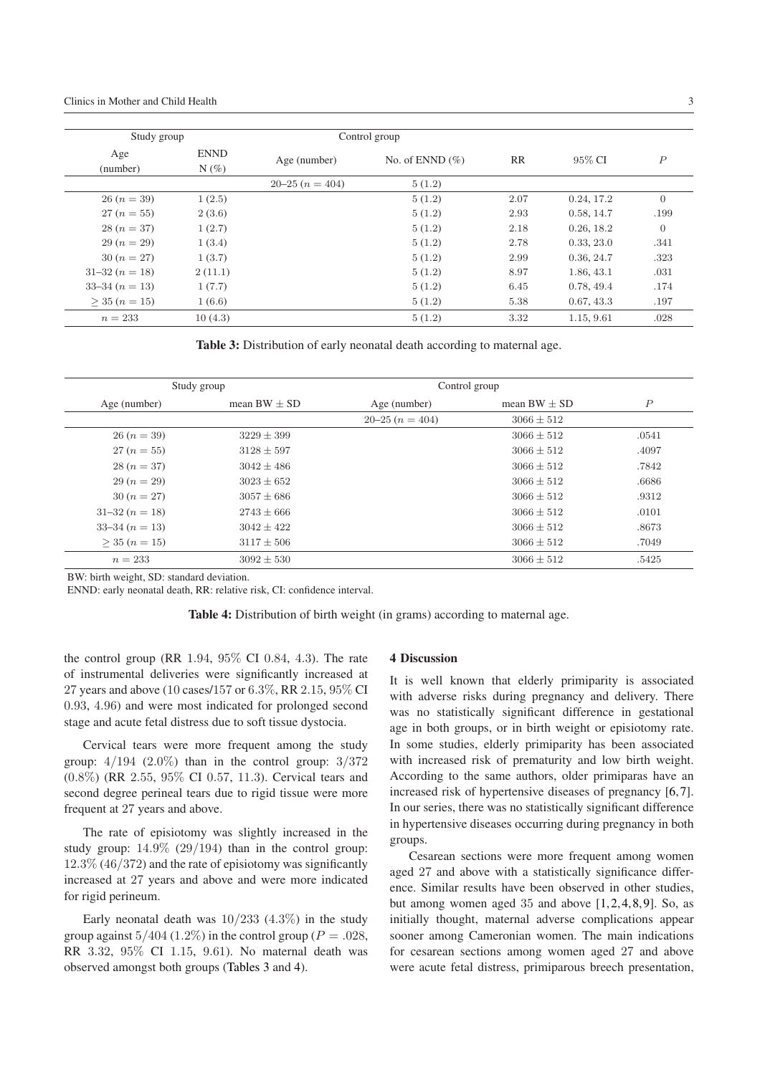| Study group         |             | Control group  |                    |           |            |                  |
|---------------------|-------------|----------------|--------------------|-----------|------------|------------------|
| Age                 | <b>ENND</b> | Age (number)   | No. of ENND $(\%)$ | <b>RR</b> | 95% CI     | $\boldsymbol{P}$ |
| (number)            | $N(\%)$     |                |                    |           |            |                  |
|                     |             | $20-25(n=404)$ | 5(1.2)             |           |            |                  |
| $26 (n = 39)$       | 1(2.5)      |                | 5(1.2)             | 2.07      | 0.24, 17.2 | $\overline{0}$   |
| $27 (n = 55)$       | 2(3.6)      |                | 5(1.2)             | 2.93      | 0.58, 14.7 | .199             |
| $28(n=37)$          | 1(2.7)      |                | 5(1.2)             | 2.18      | 0.26, 18.2 | $\Omega$         |
| $29 (n = 29)$       | 1(3.4)      |                | 5(1.2)             | 2.78      | 0.33, 23.0 | .341             |
| $30 (n = 27)$       | 1(3.7)      |                | 5(1.2)             | 2.99      | 0.36, 24.7 | .323             |
| $31-32(n=18)$       | 2(11.1)     |                | 5(1.2)             | 8.97      | 1.86, 43.1 | .031             |
| $33-34(n=13)$       | 1(7.7)      |                | 5(1.2)             | 6.45      | 0.78, 49.4 | .174             |
| $>$ 35 ( $n = 15$ ) | 1(6.6)      |                | 5(1.2)             | 5.38      | 0.67, 43.3 | .197             |
| $n = 233$           | 10(4.3)     |                | 5(1.2)             | 3.32      | 1.15, 9.61 | .028             |

<span id="page-2-0"></span>**Table 3:** Distribution of early neonatal death according to maternal age.

|                     | Study group      | Control group  |                  |                  |
|---------------------|------------------|----------------|------------------|------------------|
| Age (number)        | mean $BW \pm SD$ | Age (number)   | mean $BW \pm SD$ | $\boldsymbol{P}$ |
|                     |                  | $20-25(n=404)$ | $3066 \pm 512$   |                  |
| $26 (n = 39)$       | $3229 \pm 399$   |                | $3066 \pm 512$   | .0541            |
| $27 (n = 55)$       | $3128 \pm 597$   |                | $3066 \pm 512$   | .4097            |
| $28(n=37)$          | $3042 \pm 486$   |                | $3066 + 512$     | .7842            |
| $29 (n = 29)$       | $3023 + 652$     |                | $3066 + 512$     | .6686            |
| $30 (n = 27)$       | $3057 \pm 686$   |                | $3066 + 512$     | .9312            |
| $31-32(n=18)$       | $2743 \pm 666$   |                | $3066 + 512$     | .0101            |
| $33-34(n=13)$       | $3042 + 422$     |                | $3066 + 512$     | .8673            |
| $>$ 35 ( $n = 15$ ) | $3117 \pm 506$   |                | $3066 \pm 512$   | .7049            |
| $n = 233$           | $3092 \pm 530$   |                | $3066 \pm 512$   | .5425            |

BW: birth weight, SD: standard deviation.

ENND: early neonatal death, RR: relative risk, CI: confidence interval.

<span id="page-2-1"></span>**Table 4:** Distribution of birth weight (in grams) according to maternal age.

the control group (RR 1*.*94, 95% CI 0*.*84, 4*.*3). The rate of instrumental deliveries were significantly increased at 27 years and above (10 cases/157 or 6*.*3%, RR 2*.*15, 95% CI 0*.*93, 4*.*96) and were most indicated for prolonged second stage and acute fetal distress due to soft tissue dystocia.

Cervical tears were more frequent among the study group: 4*/*194 (2*.*0%) than in the control group: 3*/*372 (0*.*8%) (RR 2*.*55, 95% CI 0*.*57, 11*.*3). Cervical tears and second degree perineal tears due to rigid tissue were more frequent at 27 years and above.

The rate of episiotomy was slightly increased in the study group: 14*.*9% (29*/*194) than in the control group: 12*.*3% (46*/*372) and the rate of episiotomy was significantly increased at 27 years and above and were more indicated for rigid perineum.

Early neonatal death was 10*/*233 (4*.*3%) in the study group against  $5/404$  (1.2%) in the control group ( $P = .028$ , RR 3*.*32, 95% CI 1*.*15, 9*.*61). No maternal death was observed amongst both groups [\(Tables 3](#page-2-0) and [4\)](#page-2-1).

#### **4 Discussion**

It is well known that elderly primiparity is associated with adverse risks during pregnancy and delivery. There was no statistically significant difference in gestational age in both groups, or in birth weight or episiotomy rate. In some studies, elderly primiparity has been associated with increased risk of prematurity and low birth weight. According to the same authors, older primiparas have an increased risk of hypertensive diseases of pregnancy [\[6,](#page-3-1)[7\]](#page-3-2). In our series, there was no statistically significant difference in hypertensive diseases occurring during pregnancy in both groups.

Cesarean sections were more frequent among women aged 27 and above with a statistically significance difference. Similar results have been observed in other studies, but among women aged 35 and above [\[1,](#page-3-6)[2,](#page-3-4)[4,](#page-3-7)[8,](#page-3-3)[9\]](#page-3-8). So, as initially thought, maternal adverse complications appear sooner among Cameronian women. The main indications for cesarean sections among women aged 27 and above were acute fetal distress, primiparous breech presentation,